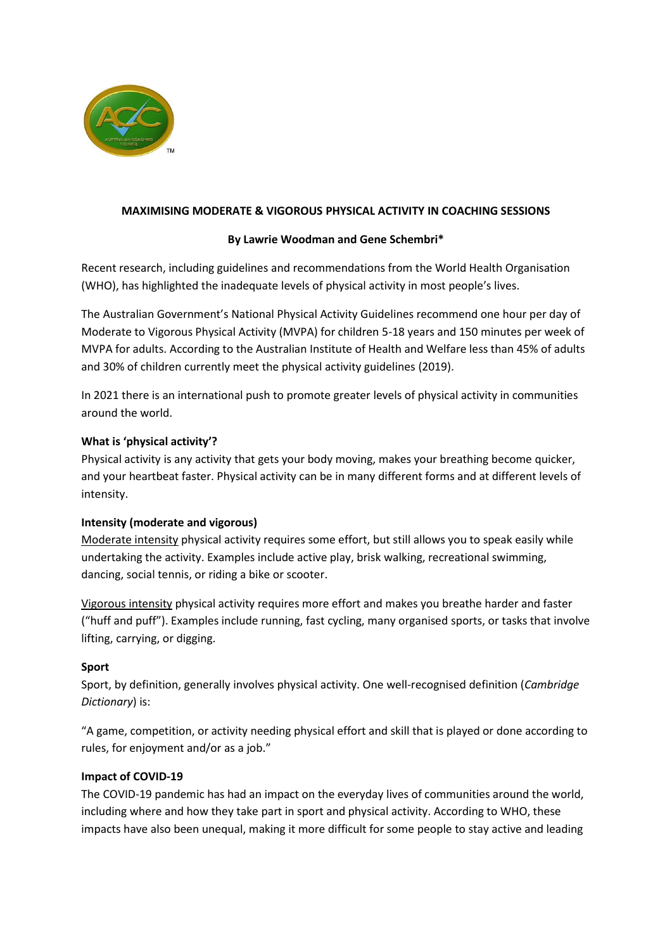

## **MAXIMISING MODERATE & VIGOROUS PHYSICAL ACTIVITY IN COACHING SESSIONS**

## **By Lawrie Woodman and Gene Schembri\***

Recent research, including guidelines and recommendations from the World Health Organisation (WHO), has highlighted the inadequate levels of physical activity in most people's lives.

The Australian Government's National Physical Activity Guidelines recommend one hour per day of Moderate to Vigorous Physical Activity (MVPA) for children 5-18 years and 150 minutes per week of MVPA for adults. According to the Australian Institute of Health and Welfare less than 45% of adults and 30% of children currently meet the physical activity guidelines (2019).

In 2021 there is an international push to promote greater levels of physical activity in communities around the world.

### **What is 'physical activity'?**

Physical activity is any activity that gets your body moving, makes your breathing become quicker, and your heartbeat faster. Physical activity can be in many different forms and at different levels of intensity.

# **Intensity (moderate and vigorous)**

Moderate intensity physical activity requires some effort, but still allows you to speak easily while undertaking the activity. Examples include active play, brisk walking, recreational swimming, dancing, social tennis, or riding a bike or scooter.

Vigorous intensity physical activity requires more effort and makes you breathe harder and faster ("huff and puff"). Examples include running, fast cycling, many organised sports, or tasks that involve lifting, carrying, or digging.

### **Sport**

Sport, by definition, generally involves physical activity. One well-recognised definition (*Cambridge Dictionary*) is:

"A game, competition, or activity needing physical effort and skill that is played or done according to rules, for enjoyment and/or as a job."

### **Impact of COVID-19**

The COVID-19 pandemic has had an impact on the everyday lives of communities around the world, including where and how they take part in sport and physical activity. According to WHO, these impacts have also been unequal, making it more difficult for some people to stay active and leading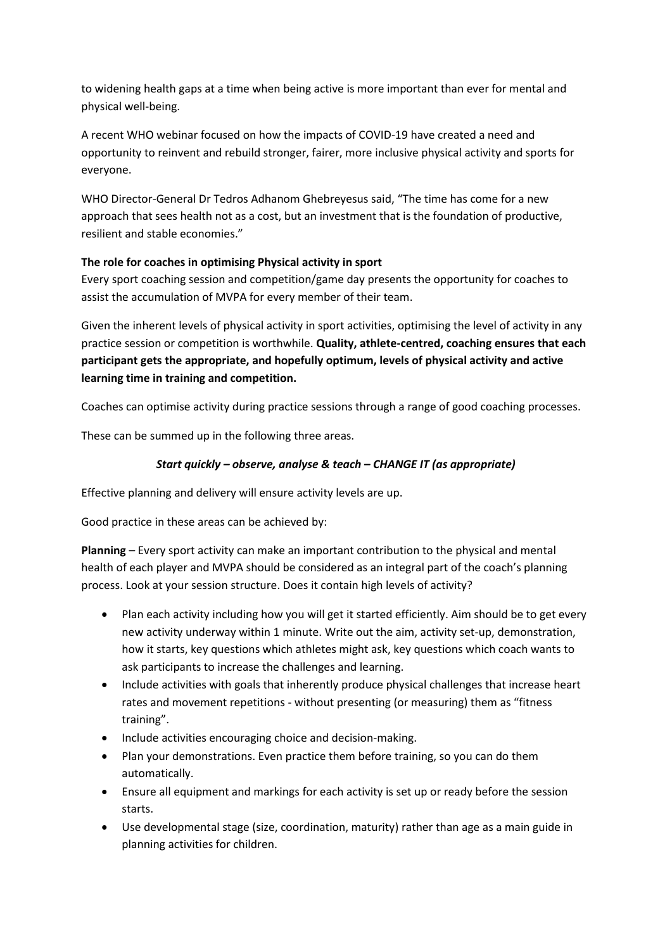to widening health gaps at a time when being active is more important than ever for mental and physical well-being.

A recent WHO webinar focused on how the impacts of COVID-19 have created a need and opportunity to reinvent and rebuild stronger, fairer, more inclusive physical activity and sports for everyone.

WHO Director-General Dr Tedros Adhanom Ghebreyesus said, "The time has come for a new approach that sees health not as a cost, but an investment that is the foundation of productive, resilient and stable economies."

# **The role for coaches in optimising Physical activity in sport**

Every sport coaching session and competition/game day presents the opportunity for coaches to assist the accumulation of MVPA for every member of their team.

Given the inherent levels of physical activity in sport activities, optimising the level of activity in any practice session or competition is worthwhile. **Quality, athlete-centred, coaching ensures that each participant gets the appropriate, and hopefully optimum, levels of physical activity and active learning time in training and competition.**

Coaches can optimise activity during practice sessions through a range of good coaching processes.

These can be summed up in the following three areas.

# *Start quickly – observe, analyse & teach – CHANGE IT (as appropriate)*

Effective planning and delivery will ensure activity levels are up.

Good practice in these areas can be achieved by:

**Planning** – Every sport activity can make an important contribution to the physical and mental health of each player and MVPA should be considered as an integral part of the coach's planning process. Look at your session structure. Does it contain high levels of activity?

- Plan each activity including how you will get it started efficiently. Aim should be to get every new activity underway within 1 minute. Write out the aim, activity set-up, demonstration, how it starts, key questions which athletes might ask, key questions which coach wants to ask participants to increase the challenges and learning.
- Include activities with goals that inherently produce physical challenges that increase heart rates and movement repetitions - without presenting (or measuring) them as "fitness training".
- Include activities encouraging choice and decision-making.
- Plan your demonstrations. Even practice them before training, so you can do them automatically.
- Ensure all equipment and markings for each activity is set up or ready before the session starts.
- Use developmental stage (size, coordination, maturity) rather than age as a main guide in planning activities for children.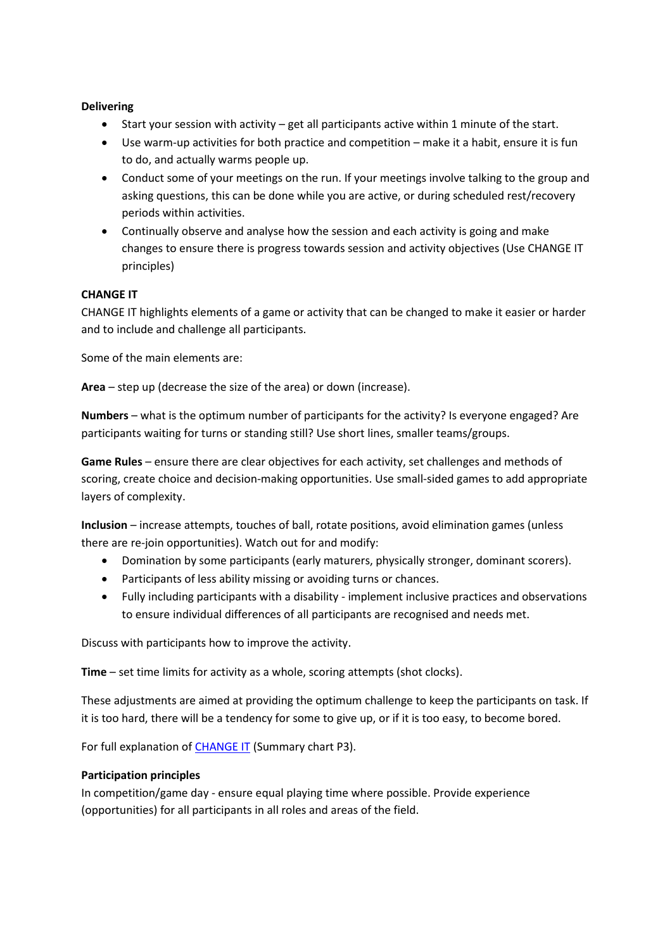## **Delivering**

- Start your session with activity get all participants active within 1 minute of the start.
- Use warm-up activities for both practice and competition make it a habit, ensure it is fun to do, and actually warms people up.
- Conduct some of your meetings on the run. If your meetings involve talking to the group and asking questions, this can be done while you are active, or during scheduled rest/recovery periods within activities.
- Continually observe and analyse how the session and each activity is going and make changes to ensure there is progress towards session and activity objectives (Use CHANGE IT principles)

## **CHANGE IT**

CHANGE IT highlights elements of a game or activity that can be changed to make it easier or harder and to include and challenge all participants.

Some of the main elements are:

**Area** – step up (decrease the size of the area) or down (increase).

**Numbers** – what is the optimum number of participants for the activity? Is everyone engaged? Are participants waiting for turns or standing still? Use short lines, smaller teams/groups.

**Game Rules** – ensure there are clear objectives for each activity, set challenges and methods of scoring, create choice and decision-making opportunities. Use small-sided games to add appropriate layers of complexity.

**Inclusion** – increase attempts, touches of ball, rotate positions, avoid elimination games (unless there are re-join opportunities). Watch out for and modify:

- Domination by some participants (early maturers, physically stronger, dominant scorers).
- Participants of less ability missing or avoiding turns or chances.
- Fully including participants with a disability implement inclusive practices and observations to ensure individual differences of all participants are recognised and needs met.

Discuss with participants how to improve the activity.

**Time** – set time limits for activity as a whole, scoring attempts (shot clocks).

These adjustments are aimed at providing the optimum challenge to keep the participants on task. If it is too hard, there will be a tendency for some to give up, or if it is too easy, to become bored.

For full explanation of **CHANGE IT** (Summary chart P3).

### **Participation principles**

In competition/game day - ensure equal playing time where possible. Provide experience (opportunities) for all participants in all roles and areas of the field.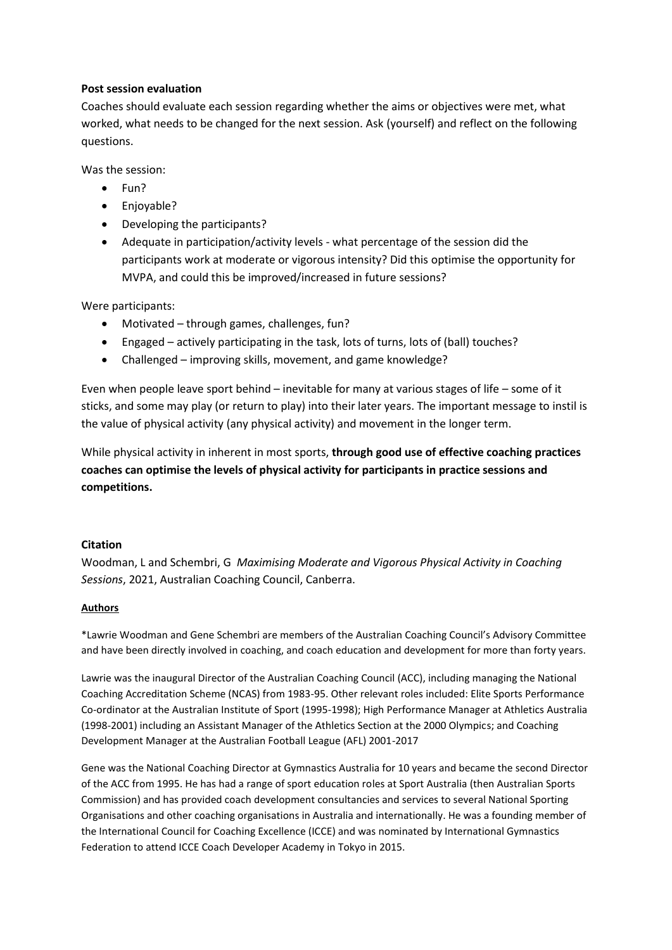## **Post session evaluation**

Coaches should evaluate each session regarding whether the aims or objectives were met, what worked, what needs to be changed for the next session. Ask (yourself) and reflect on the following questions.

Was the session:

- Fun?
- Enjoyable?
- Developing the participants?
- Adequate in participation/activity levels what percentage of the session did the participants work at moderate or vigorous intensity? Did this optimise the opportunity for MVPA, and could this be improved/increased in future sessions?

Were participants:

- Motivated through games, challenges, fun?
- Engaged actively participating in the task, lots of turns, lots of (ball) touches?
- Challenged improving skills, movement, and game knowledge?

Even when people leave sport behind – inevitable for many at various stages of life – some of it sticks, and some may play (or return to play) into their later years. The important message to instil is the value of physical activity (any physical activity) and movement in the longer term.

While physical activity in inherent in most sports, **through good use of effective coaching practices coaches can optimise the levels of physical activity for participants in practice sessions and competitions.**

### **Citation**

Woodman, L and Schembri, G *Maximising Moderate and Vigorous Physical Activity in Coaching Sessions*, 2021, Australian Coaching Council, Canberra.

### **Authors**

\*Lawrie Woodman and Gene Schembri are members of the Australian Coaching Council's Advisory Committee and have been directly involved in coaching, and coach education and development for more than forty years.

Lawrie was the inaugural Director of the Australian Coaching Council (ACC), including managing the National Coaching Accreditation Scheme (NCAS) from 1983-95. Other relevant roles included: Elite Sports Performance Co-ordinator at the Australian Institute of Sport (1995-1998); High Performance Manager at Athletics Australia (1998-2001) including an Assistant Manager of the Athletics Section at the 2000 Olympics; and Coaching Development Manager at the Australian Football League (AFL) 2001-2017

Gene was the National Coaching Director at Gymnastics Australia for 10 years and became the second Director of the ACC from 1995. He has had a range of sport education roles at Sport Australia (then Australian Sports Commission) and has provided coach development consultancies and services to several National Sporting Organisations and other coaching organisations in Australia and internationally. He was a founding member of the International Council for Coaching Excellence (ICCE) and was nominated by International Gymnastics Federation to attend ICCE Coach Developer Academy in Tokyo in 2015.